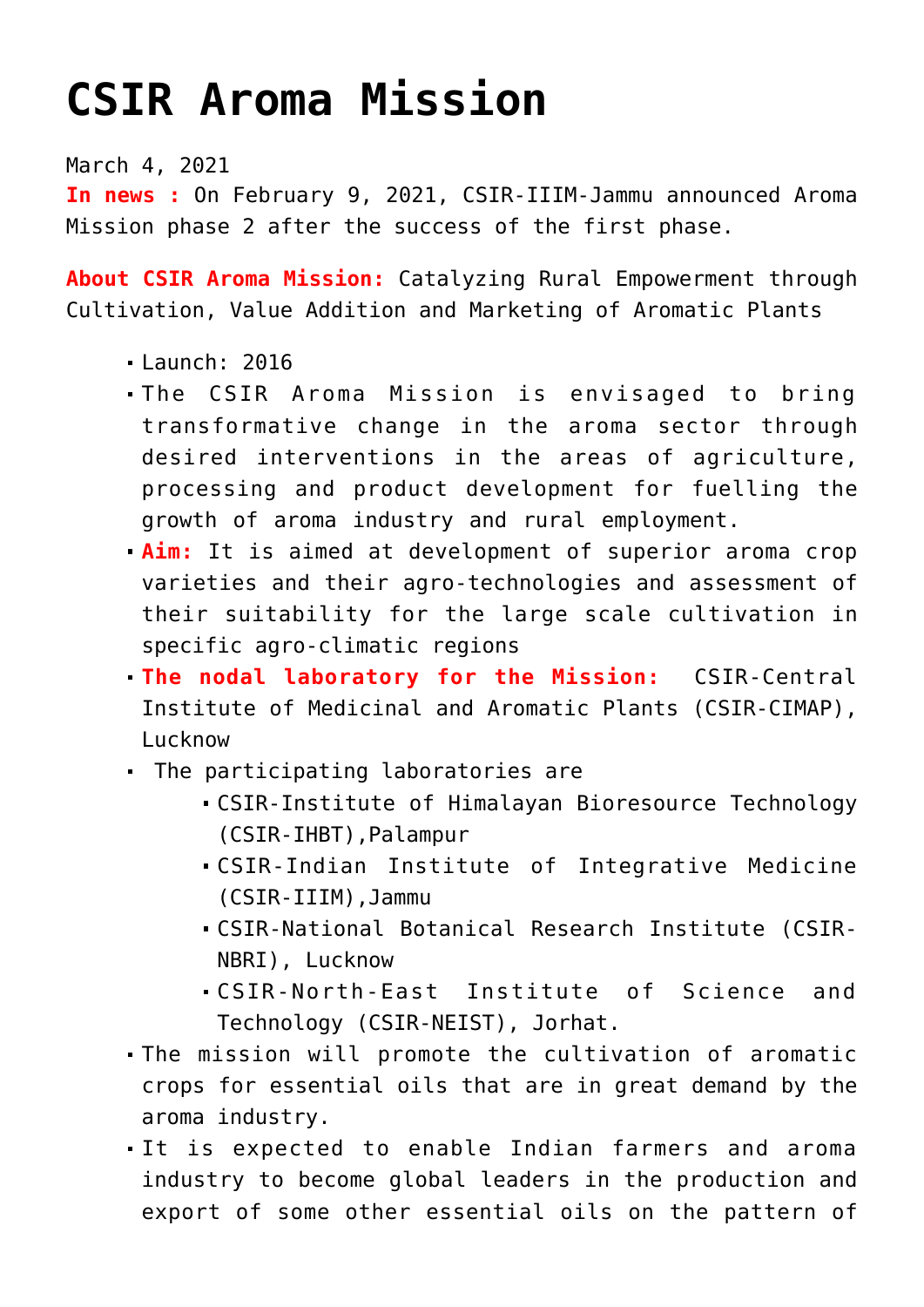## **[CSIR Aroma Mission](https://journalsofindia.com/csir-aroma-mission/)**

March 4, 2021

**In news :** On February 9, 2021, CSIR-IIIM-Jammu announced Aroma Mission phase 2 after the success of the first phase.

**About CSIR Aroma Mission:** Catalyzing Rural Empowerment through Cultivation, Value Addition and Marketing of Aromatic Plants

- $\blacksquare$ Launch: 2016
- The CSIR Aroma Mission is envisaged to bring transformative change in the aroma sector through desired interventions in the areas of agriculture, processing and product development for fuelling the growth of aroma industry and rural employment.
- **Aim:** It is aimed at development of superior aroma crop varieties and their agro-technologies and assessment of their suitability for the large scale cultivation in specific agro-climatic regions
- **The nodal laboratory for the Mission:** CSIR-Central Institute of Medicinal and Aromatic Plants (CSIR-CIMAP), Lucknow
- The participating laboratories are
	- CSIR-Institute of Himalayan Bioresource Technology (CSIR-IHBT),Palampur
	- CSIR-Indian Institute of Integrative Medicine (CSIR-IIIM),Jammu
	- CSIR-National Botanical Research Institute (CSIR-NBRI), Lucknow
	- CSIR-North-East Institute of Science and Technology (CSIR-NEIST), Jorhat.
- The mission will promote the cultivation of aromatic crops for essential oils that are in great demand by the aroma industry.
- It is expected to enable Indian farmers and aroma industry to become global leaders in the production and export of some other essential oils on the pattern of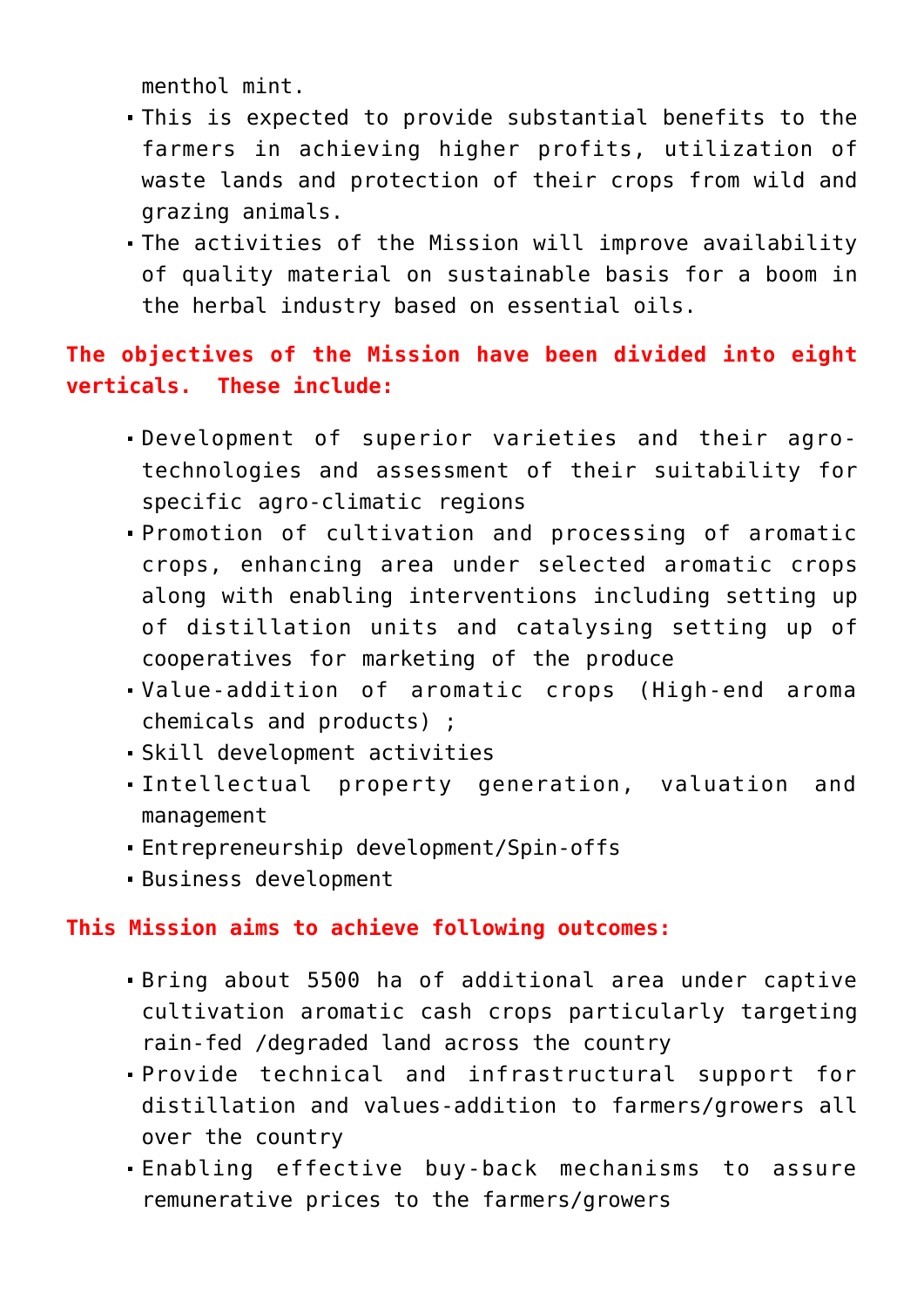menthol mint.

- This is expected to provide substantial benefits to the farmers in achieving higher profits, utilization of waste lands and protection of their crops from wild and grazing animals.
- The activities of the Mission will improve availability of quality material on sustainable basis for a boom in the herbal industry based on essential oils.

## **The objectives of the Mission have been divided into eight verticals. These include:**

- Development of superior varieties and their agrotechnologies and assessment of their suitability for specific agro-climatic regions
- Promotion of cultivation and processing of aromatic crops, enhancing area under selected aromatic crops along with enabling interventions including setting up of distillation units and catalysing setting up of cooperatives for marketing of the produce
- Value-addition of aromatic crops (High-end aroma chemicals and products) ;
- Skill development activities
- Intellectual property generation, valuation and management
- Entrepreneurship development/Spin-offs
- Business development

## **This Mission aims to achieve following outcomes:**

- Bring about 5500 ha of additional area under captive cultivation aromatic cash crops particularly targeting rain-fed /degraded land across the country
- Provide technical and infrastructural support for distillation and values-addition to farmers/growers all over the country
- Enabling effective buy-back mechanisms to assure remunerative prices to the farmers/growers